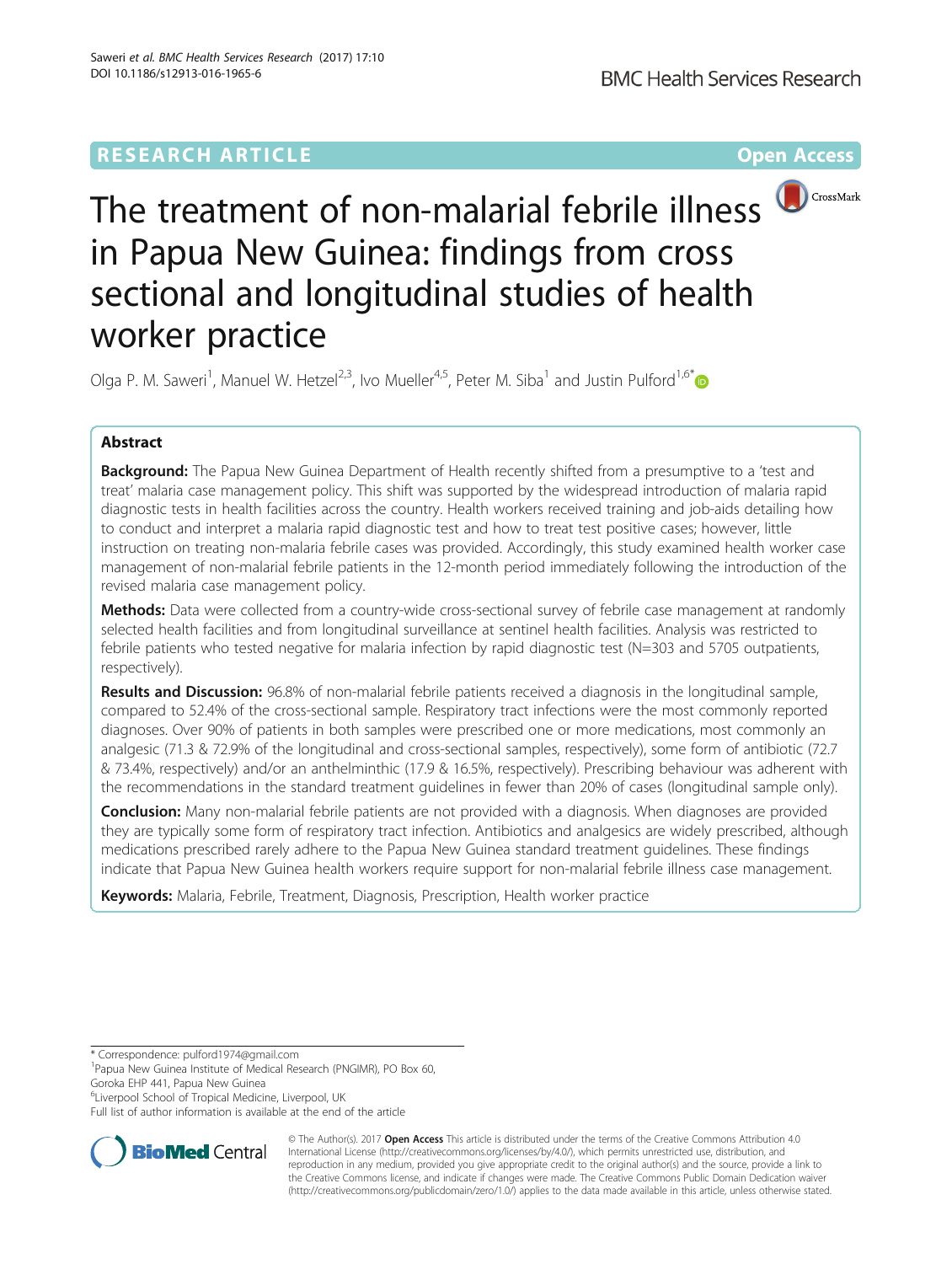# **RESEARCH ARTICLE Example 2014 12:30 The Contract of Contract ACCESS**



The treatment of non-malarial febrile illness in Papua New Guinea: findings from cross sectional and longitudinal studies of health worker practice

Olga P. M. Saweri<sup>1</sup>, Manuel W. Hetzel<sup>2,3</sup>, Ivo Mueller<sup>4,5</sup>, Peter M. Siba<sup>1</sup> and Justin Pulford<sup>1,6\*</sup>

# Abstract

**Background:** The Papua New Guinea Department of Health recently shifted from a presumptive to a 'test and treat' malaria case management policy. This shift was supported by the widespread introduction of malaria rapid diagnostic tests in health facilities across the country. Health workers received training and job-aids detailing how to conduct and interpret a malaria rapid diagnostic test and how to treat test positive cases; however, little instruction on treating non-malaria febrile cases was provided. Accordingly, this study examined health worker case management of non-malarial febrile patients in the 12-month period immediately following the introduction of the revised malaria case management policy.

**Methods:** Data were collected from a country-wide cross-sectional survey of febrile case management at randomly selected health facilities and from longitudinal surveillance at sentinel health facilities. Analysis was restricted to febrile patients who tested negative for malaria infection by rapid diagnostic test (N=303 and 5705 outpatients, respectively).

Results and Discussion: 96.8% of non-malarial febrile patients received a diagnosis in the longitudinal sample, compared to 52.4% of the cross-sectional sample. Respiratory tract infections were the most commonly reported diagnoses. Over 90% of patients in both samples were prescribed one or more medications, most commonly an analgesic (71.3 & 72.9% of the longitudinal and cross-sectional samples, respectively), some form of antibiotic (72.7 & 73.4%, respectively) and/or an anthelminthic (17.9 & 16.5%, respectively). Prescribing behaviour was adherent with the recommendations in the standard treatment guidelines in fewer than 20% of cases (longitudinal sample only).

**Conclusion:** Many non-malarial febrile patients are not provided with a diagnosis. When diagnoses are provided they are typically some form of respiratory tract infection. Antibiotics and analgesics are widely prescribed, although medications prescribed rarely adhere to the Papua New Guinea standard treatment guidelines. These findings indicate that Papua New Guinea health workers require support for non-malarial febrile illness case management.

Keywords: Malaria, Febrile, Treatment, Diagnosis, Prescription, Health worker practice

\* Correspondence: [pulford1974@gmail.com](mailto:pulford1974@gmail.com) <sup>1</sup>

6 Liverpool School of Tropical Medicine, Liverpool, UK

Full list of author information is available at the end of the article



© The Author(s). 2017 **Open Access** This article is distributed under the terms of the Creative Commons Attribution 4.0 International License [\(http://creativecommons.org/licenses/by/4.0/](http://creativecommons.org/licenses/by/4.0/)), which permits unrestricted use, distribution, and reproduction in any medium, provided you give appropriate credit to the original author(s) and the source, provide a link to the Creative Commons license, and indicate if changes were made. The Creative Commons Public Domain Dedication waiver [\(http://creativecommons.org/publicdomain/zero/1.0/](http://creativecommons.org/publicdomain/zero/1.0/)) applies to the data made available in this article, unless otherwise stated.

<sup>&</sup>lt;sup>1</sup>Papua New Guinea Institute of Medical Research (PNGIMR), PO Box 60, Goroka EHP 441, Papua New Guinea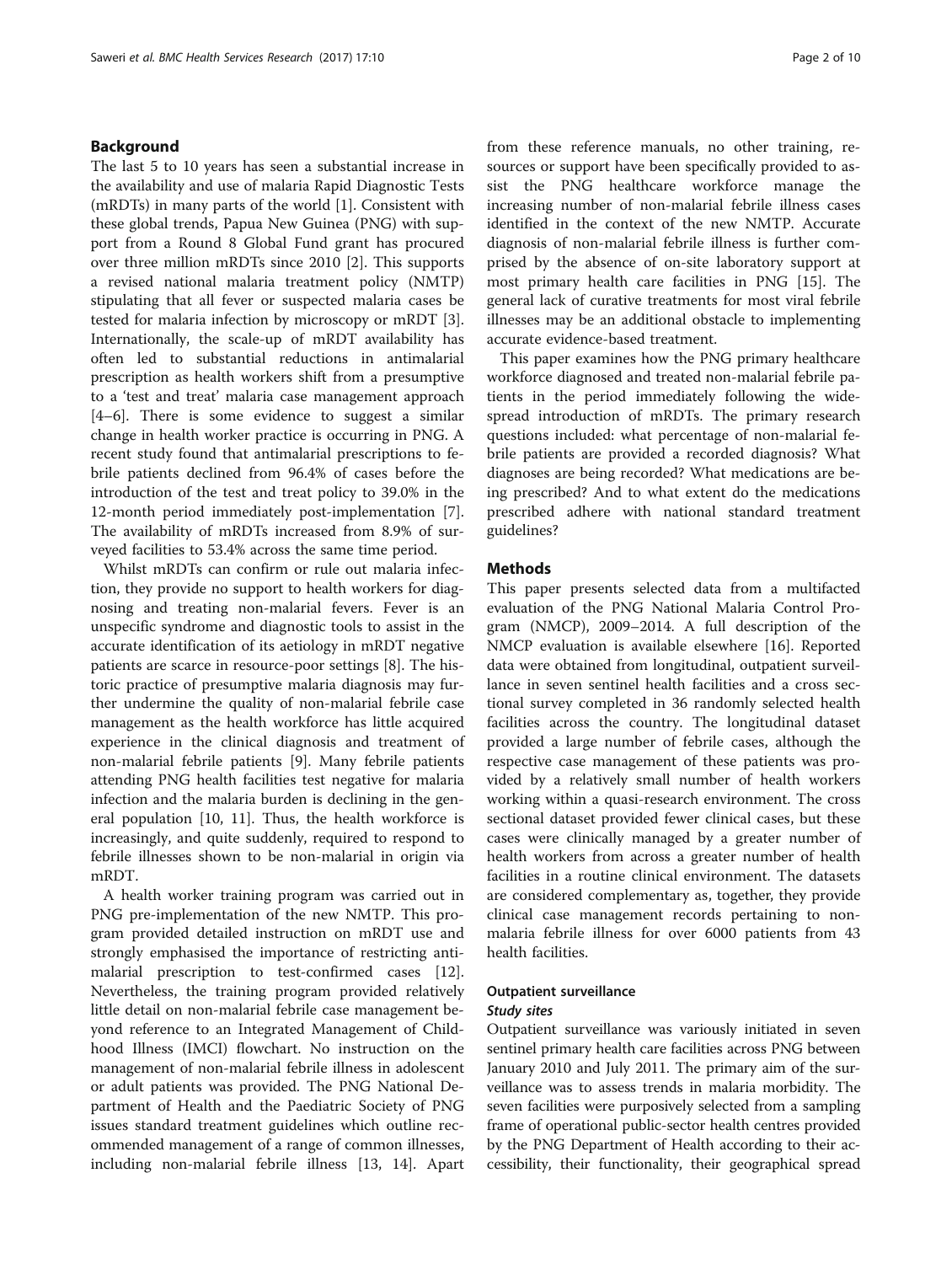## Background

The last 5 to 10 years has seen a substantial increase in the availability and use of malaria Rapid Diagnostic Tests (mRDTs) in many parts of the world [[1\]](#page-8-0). Consistent with these global trends, Papua New Guinea (PNG) with support from a Round 8 Global Fund grant has procured over three million mRDTs since 2010 [[2\]](#page-8-0). This supports a revised national malaria treatment policy (NMTP) stipulating that all fever or suspected malaria cases be tested for malaria infection by microscopy or mRDT [\[3](#page-8-0)]. Internationally, the scale-up of mRDT availability has often led to substantial reductions in antimalarial prescription as health workers shift from a presumptive to a 'test and treat' malaria case management approach [[4](#page-8-0)–[6\]](#page-8-0). There is some evidence to suggest a similar change in health worker practice is occurring in PNG. A recent study found that antimalarial prescriptions to febrile patients declined from 96.4% of cases before the introduction of the test and treat policy to 39.0% in the 12-month period immediately post-implementation [\[7](#page-8-0)]. The availability of mRDTs increased from 8.9% of surveyed facilities to 53.4% across the same time period.

Whilst mRDTs can confirm or rule out malaria infection, they provide no support to health workers for diagnosing and treating non-malarial fevers. Fever is an unspecific syndrome and diagnostic tools to assist in the accurate identification of its aetiology in mRDT negative patients are scarce in resource-poor settings [\[8](#page-8-0)]. The historic practice of presumptive malaria diagnosis may further undermine the quality of non-malarial febrile case management as the health workforce has little acquired experience in the clinical diagnosis and treatment of non-malarial febrile patients [[9](#page-8-0)]. Many febrile patients attending PNG health facilities test negative for malaria infection and the malaria burden is declining in the general population [[10, 11](#page-8-0)]. Thus, the health workforce is increasingly, and quite suddenly, required to respond to febrile illnesses shown to be non-malarial in origin via mRDT.

A health worker training program was carried out in PNG pre-implementation of the new NMTP. This program provided detailed instruction on mRDT use and strongly emphasised the importance of restricting antimalarial prescription to test-confirmed cases [\[12](#page-8-0)]. Nevertheless, the training program provided relatively little detail on non-malarial febrile case management beyond reference to an Integrated Management of Childhood Illness (IMCI) flowchart. No instruction on the management of non-malarial febrile illness in adolescent or adult patients was provided. The PNG National Department of Health and the Paediatric Society of PNG issues standard treatment guidelines which outline recommended management of a range of common illnesses, including non-malarial febrile illness [[13, 14](#page-8-0)]. Apart from these reference manuals, no other training, resources or support have been specifically provided to assist the PNG healthcare workforce manage the increasing number of non-malarial febrile illness cases identified in the context of the new NMTP. Accurate diagnosis of non-malarial febrile illness is further comprised by the absence of on-site laboratory support at most primary health care facilities in PNG [[15\]](#page-8-0). The general lack of curative treatments for most viral febrile illnesses may be an additional obstacle to implementing accurate evidence-based treatment.

This paper examines how the PNG primary healthcare workforce diagnosed and treated non-malarial febrile patients in the period immediately following the widespread introduction of mRDTs. The primary research questions included: what percentage of non-malarial febrile patients are provided a recorded diagnosis? What diagnoses are being recorded? What medications are being prescribed? And to what extent do the medications prescribed adhere with national standard treatment guidelines?

### Methods

This paper presents selected data from a multifacted evaluation of the PNG National Malaria Control Program (NMCP), 2009–2014. A full description of the NMCP evaluation is available elsewhere [[16\]](#page-8-0). Reported data were obtained from longitudinal, outpatient surveillance in seven sentinel health facilities and a cross sectional survey completed in 36 randomly selected health facilities across the country. The longitudinal dataset provided a large number of febrile cases, although the respective case management of these patients was provided by a relatively small number of health workers working within a quasi-research environment. The cross sectional dataset provided fewer clinical cases, but these cases were clinically managed by a greater number of health workers from across a greater number of health facilities in a routine clinical environment. The datasets are considered complementary as, together, they provide clinical case management records pertaining to nonmalaria febrile illness for over 6000 patients from 43 health facilities.

### Outpatient surveillance

### Study sites

Outpatient surveillance was variously initiated in seven sentinel primary health care facilities across PNG between January 2010 and July 2011. The primary aim of the surveillance was to assess trends in malaria morbidity. The seven facilities were purposively selected from a sampling frame of operational public-sector health centres provided by the PNG Department of Health according to their accessibility, their functionality, their geographical spread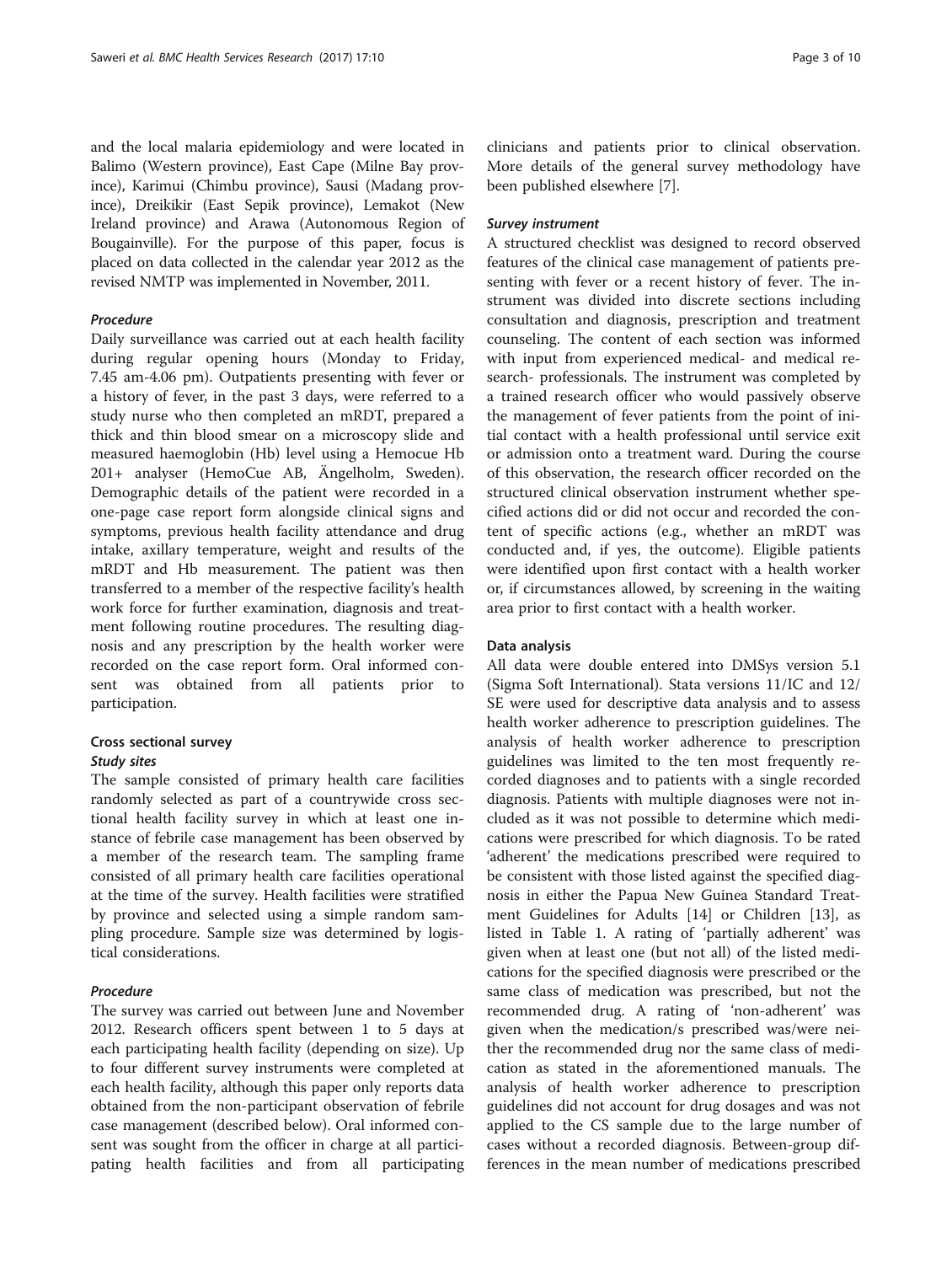and the local malaria epidemiology and were located in Balimo (Western province), East Cape (Milne Bay province), Karimui (Chimbu province), Sausi (Madang province), Dreikikir (East Sepik province), Lemakot (New Ireland province) and Arawa (Autonomous Region of Bougainville). For the purpose of this paper, focus is placed on data collected in the calendar year 2012 as the revised NMTP was implemented in November, 2011.

## Procedure

Daily surveillance was carried out at each health facility during regular opening hours (Monday to Friday, 7.45 am-4.06 pm). Outpatients presenting with fever or a history of fever, in the past 3 days, were referred to a study nurse who then completed an mRDT, prepared a thick and thin blood smear on a microscopy slide and measured haemoglobin (Hb) level using a Hemocue Hb 201+ analyser (HemoCue AB, Ängelholm, Sweden). Demographic details of the patient were recorded in a one-page case report form alongside clinical signs and symptoms, previous health facility attendance and drug intake, axillary temperature, weight and results of the mRDT and Hb measurement. The patient was then transferred to a member of the respective facility's health work force for further examination, diagnosis and treatment following routine procedures. The resulting diagnosis and any prescription by the health worker were recorded on the case report form. Oral informed consent was obtained from all patients prior to participation.

# Cross sectional survey

### Study sites

The sample consisted of primary health care facilities randomly selected as part of a countrywide cross sectional health facility survey in which at least one instance of febrile case management has been observed by a member of the research team. The sampling frame consisted of all primary health care facilities operational at the time of the survey. Health facilities were stratified by province and selected using a simple random sampling procedure. Sample size was determined by logistical considerations.

# Procedure

The survey was carried out between June and November 2012. Research officers spent between 1 to 5 days at each participating health facility (depending on size). Up to four different survey instruments were completed at each health facility, although this paper only reports data obtained from the non-participant observation of febrile case management (described below). Oral informed consent was sought from the officer in charge at all participating health facilities and from all participating clinicians and patients prior to clinical observation. More details of the general survey methodology have been published elsewhere [\[7](#page-8-0)].

### Survey instrument

A structured checklist was designed to record observed features of the clinical case management of patients presenting with fever or a recent history of fever. The instrument was divided into discrete sections including consultation and diagnosis, prescription and treatment counseling. The content of each section was informed with input from experienced medical- and medical research- professionals. The instrument was completed by a trained research officer who would passively observe the management of fever patients from the point of initial contact with a health professional until service exit or admission onto a treatment ward. During the course of this observation, the research officer recorded on the structured clinical observation instrument whether specified actions did or did not occur and recorded the content of specific actions (e.g., whether an mRDT was conducted and, if yes, the outcome). Eligible patients were identified upon first contact with a health worker or, if circumstances allowed, by screening in the waiting area prior to first contact with a health worker.

### Data analysis

All data were double entered into DMSys version 5.1 (Sigma Soft International). Stata versions 11/IC and 12/ SE were used for descriptive data analysis and to assess health worker adherence to prescription guidelines. The analysis of health worker adherence to prescription guidelines was limited to the ten most frequently recorded diagnoses and to patients with a single recorded diagnosis. Patients with multiple diagnoses were not included as it was not possible to determine which medications were prescribed for which diagnosis. To be rated 'adherent' the medications prescribed were required to be consistent with those listed against the specified diagnosis in either the Papua New Guinea Standard Treatment Guidelines for Adults [[14\]](#page-8-0) or Children [[13\]](#page-8-0), as listed in Table [1](#page-3-0). A rating of 'partially adherent' was given when at least one (but not all) of the listed medications for the specified diagnosis were prescribed or the same class of medication was prescribed, but not the recommended drug. A rating of 'non-adherent' was given when the medication/s prescribed was/were neither the recommended drug nor the same class of medication as stated in the aforementioned manuals. The analysis of health worker adherence to prescription guidelines did not account for drug dosages and was not applied to the CS sample due to the large number of cases without a recorded diagnosis. Between-group differences in the mean number of medications prescribed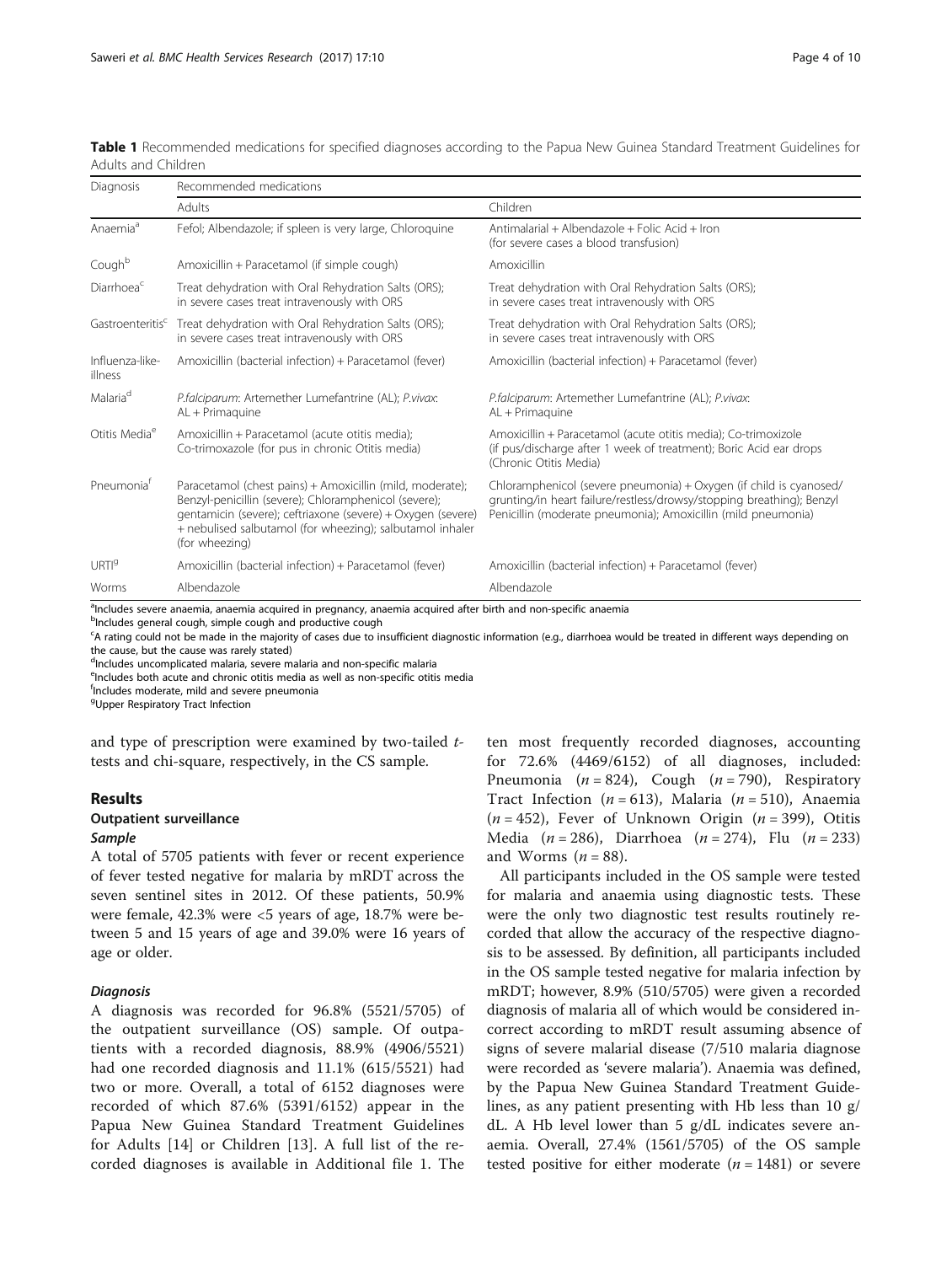<span id="page-3-0"></span>

| Table 1 Recommended medications for specified diagnoses according to the Papua New Guinea Standard Treatment Guidelines for |  |  |  |  |  |  |
|-----------------------------------------------------------------------------------------------------------------------------|--|--|--|--|--|--|
| Adults and Children                                                                                                         |  |  |  |  |  |  |

| Diagnosis                  | Recommended medications                                                                                                                                                                                                                                          |                                                                                                                                                                                                              |  |  |  |  |  |
|----------------------------|------------------------------------------------------------------------------------------------------------------------------------------------------------------------------------------------------------------------------------------------------------------|--------------------------------------------------------------------------------------------------------------------------------------------------------------------------------------------------------------|--|--|--|--|--|
|                            | Adults                                                                                                                                                                                                                                                           | Children                                                                                                                                                                                                     |  |  |  |  |  |
| Anaemia <sup>a</sup>       | Fefol; Albendazole; if spleen is very large, Chloroguine                                                                                                                                                                                                         | Antimalarial + Albendazole + Folic Acid + Iron<br>(for severe cases a blood transfusion)                                                                                                                     |  |  |  |  |  |
| Coughb                     | Amoxicillin + Paracetamol (if simple cough)                                                                                                                                                                                                                      | Amoxicillin                                                                                                                                                                                                  |  |  |  |  |  |
| Diarrhoea <sup>c</sup>     | Treat dehydration with Oral Rehydration Salts (ORS);<br>in severe cases treat intravenously with ORS                                                                                                                                                             | Treat dehydration with Oral Rehydration Salts (ORS);<br>in severe cases treat intravenously with ORS                                                                                                         |  |  |  |  |  |
| Gastroenteritisc           | Treat dehydration with Oral Rehydration Salts (ORS);<br>in severe cases treat intravenously with ORS                                                                                                                                                             | Treat dehydration with Oral Rehydration Salts (ORS);<br>in severe cases treat intravenously with ORS                                                                                                         |  |  |  |  |  |
| Influenza-like-<br>illness | Amoxicillin (bacterial infection) + Paracetamol (fever)                                                                                                                                                                                                          | Amoxicillin (bacterial infection) + Paracetamol (fever)                                                                                                                                                      |  |  |  |  |  |
| Malaria <sup>d</sup>       | P.falciparum: Artemether Lumefantrine (AL); P.vivax:<br>$AL + Prima$ quine                                                                                                                                                                                       | P.falciparum: Artemether Lumefantrine (AL); P.vivax:<br>AL + Primaguine                                                                                                                                      |  |  |  |  |  |
| Otitis Media <sup>e</sup>  | Amoxicillin + Paracetamol (acute otitis media);<br>Co-trimoxazole (for pus in chronic Otitis media)                                                                                                                                                              | Amoxicillin + Paracetamol (acute otitis media); Co-trimoxizole<br>(if pus/discharge after 1 week of treatment); Boric Acid ear drops<br>(Chronic Otitis Media)                                               |  |  |  |  |  |
| Pneumonia <sup>t</sup>     | Paracetamol (chest pains) + Amoxicillin (mild, moderate);<br>Benzyl-penicillin (severe); Chloramphenicol (severe);<br>gentamicin (severe); ceftriaxone (severe) + Oxygen (severe)<br>+ nebulised salbutamol (for wheezing); salbutamol inhaler<br>(for wheezing) | Chloramphenicol (severe pneumonia) + Oxygen (if child is cyanosed/<br>grunting/in heart failure/restless/drowsy/stopping breathing); Benzyl<br>Penicillin (moderate pneumonia); Amoxicillin (mild pneumonia) |  |  |  |  |  |
| URTI <sup>9</sup>          | Amoxicillin (bacterial infection) + Paracetamol (fever)                                                                                                                                                                                                          | Amoxicillin (bacterial infection) + Paracetamol (fever)                                                                                                                                                      |  |  |  |  |  |
| Worms                      | Albendazole                                                                                                                                                                                                                                                      | Albendazole                                                                                                                                                                                                  |  |  |  |  |  |

a<br>Includes severe anaemia, anaemia acquired in pregnancy, anaemia acquired after birth and non-specific anaemia <sup>b</sup>Includes general cough, simple cough and productive cough

<sup>c</sup>A rating could not be made in the majority of cases due to insufficient diagnostic information (e.g., diarrhoea would be treated in different ways depending on the cause, but the cause was rarely stated)

<sup>d</sup>Includes uncomplicated malaria, severe malaria and non-specific malaria

elncludes both acute and chronic otitis media as well as non-specific otitis media

f Includes moderate, mild and severe pneumonia

<sup>9</sup>Upper Respiratory Tract Infection

and type of prescription were examined by two-tailed ttests and chi-square, respectively, in the CS sample.

### Results

# Outpatient surveillance

### Sample

A total of 5705 patients with fever or recent experience of fever tested negative for malaria by mRDT across the seven sentinel sites in 2012. Of these patients, 50.9% were female, 42.3% were <5 years of age, 18.7% were between 5 and 15 years of age and 39.0% were 16 years of age or older.

### **Diagnosis**

A diagnosis was recorded for 96.8% (5521/5705) of the outpatient surveillance (OS) sample. Of outpatients with a recorded diagnosis, 88.9% (4906/5521) had one recorded diagnosis and 11.1% (615/5521) had two or more. Overall, a total of 6152 diagnoses were recorded of which 87.6% (5391/6152) appear in the Papua New Guinea Standard Treatment Guidelines for Adults [[14](#page-8-0)] or Children [[13\]](#page-8-0). A full list of the recorded diagnoses is available in Additional file [1.](#page-8-0) The ten most frequently recorded diagnoses, accounting for 72.6% (4469/6152) of all diagnoses, included: Pneumonia ( $n = 824$ ), Cough ( $n = 790$ ), Respiratory Tract Infection ( $n = 613$ ), Malaria ( $n = 510$ ), Anaemia  $(n = 452)$ , Fever of Unknown Origin  $(n = 399)$ , Otitis Media  $(n = 286)$ , Diarrhoea  $(n = 274)$ , Flu  $(n = 233)$ and Worms  $(n = 88)$ .

All participants included in the OS sample were tested for malaria and anaemia using diagnostic tests. These were the only two diagnostic test results routinely recorded that allow the accuracy of the respective diagnosis to be assessed. By definition, all participants included in the OS sample tested negative for malaria infection by mRDT; however, 8.9% (510/5705) were given a recorded diagnosis of malaria all of which would be considered incorrect according to mRDT result assuming absence of signs of severe malarial disease (7/510 malaria diagnose were recorded as 'severe malaria'). Anaemia was defined, by the Papua New Guinea Standard Treatment Guidelines, as any patient presenting with Hb less than 10 g/ dL. A Hb level lower than 5 g/dL indicates severe anaemia. Overall, 27.4% (1561/5705) of the OS sample tested positive for either moderate ( $n = 1481$ ) or severe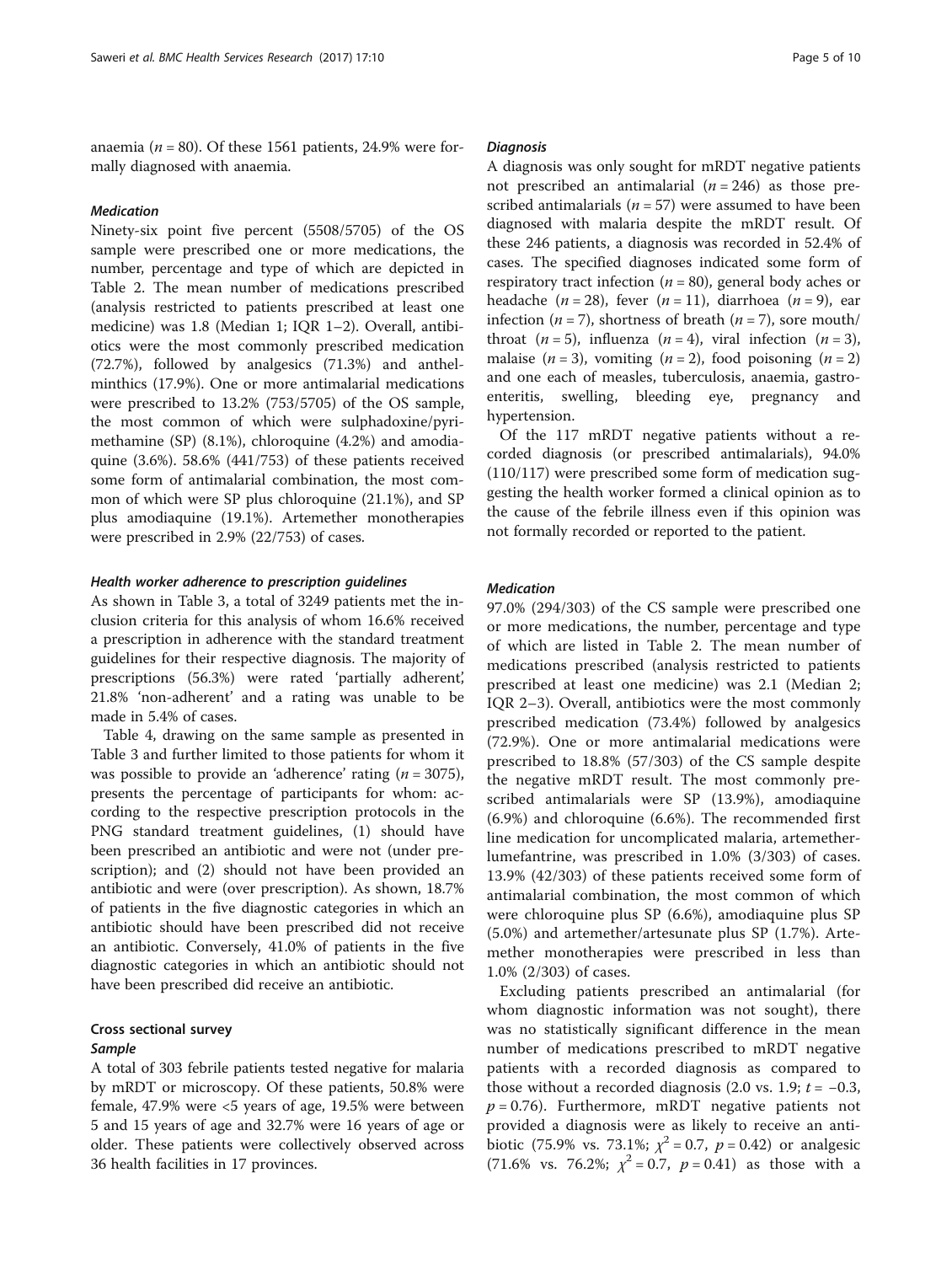anaemia ( $n = 80$ ). Of these 1561 patients, 24.9% were formally diagnosed with anaemia.

### Medication

Ninety-six point five percent (5508/5705) of the OS sample were prescribed one or more medications, the number, percentage and type of which are depicted in Table [2.](#page-5-0) The mean number of medications prescribed (analysis restricted to patients prescribed at least one medicine) was 1.8 (Median 1; IQR 1–2). Overall, antibiotics were the most commonly prescribed medication (72.7%), followed by analgesics (71.3%) and anthelminthics (17.9%). One or more antimalarial medications were prescribed to 13.2% (753/5705) of the OS sample, the most common of which were sulphadoxine/pyrimethamine (SP) (8.1%), chloroquine (4.2%) and amodiaquine (3.6%). 58.6% (441/753) of these patients received some form of antimalarial combination, the most common of which were SP plus chloroquine (21.1%), and SP plus amodiaquine (19.1%). Artemether monotherapies were prescribed in 2.9% (22/753) of cases.

### Health worker adherence to prescription guidelines

As shown in Table [3](#page-6-0), a total of 3249 patients met the inclusion criteria for this analysis of whom 16.6% received a prescription in adherence with the standard treatment guidelines for their respective diagnosis. The majority of prescriptions (56.3%) were rated 'partially adherent', 21.8% 'non-adherent' and a rating was unable to be made in 5.4% of cases.

Table [4,](#page-6-0) drawing on the same sample as presented in Table [3](#page-6-0) and further limited to those patients for whom it was possible to provide an 'adherence' rating  $(n = 3075)$ , presents the percentage of participants for whom: according to the respective prescription protocols in the PNG standard treatment guidelines, (1) should have been prescribed an antibiotic and were not (under prescription); and (2) should not have been provided an antibiotic and were (over prescription). As shown, 18.7% of patients in the five diagnostic categories in which an antibiotic should have been prescribed did not receive an antibiotic. Conversely, 41.0% of patients in the five diagnostic categories in which an antibiotic should not have been prescribed did receive an antibiotic.

# Cross sectional survey

# Sample

A total of 303 febrile patients tested negative for malaria by mRDT or microscopy. Of these patients, 50.8% were female, 47.9% were <5 years of age, 19.5% were between 5 and 15 years of age and 32.7% were 16 years of age or older. These patients were collectively observed across 36 health facilities in 17 provinces.

### **Diagnosis**

A diagnosis was only sought for mRDT negative patients not prescribed an antimalarial  $(n = 246)$  as those prescribed antimalarials ( $n = 57$ ) were assumed to have been diagnosed with malaria despite the mRDT result. Of these 246 patients, a diagnosis was recorded in 52.4% of cases. The specified diagnoses indicated some form of respiratory tract infection ( $n = 80$ ), general body aches or headache (*n* = 28), fever (*n* = 11), diarrhoea (*n* = 9), ear infection ( $n = 7$ ), shortness of breath ( $n = 7$ ), sore mouth/ throat  $(n = 5)$ , influenza  $(n = 4)$ , viral infection  $(n = 3)$ , malaise (*n* = 3), vomiting (*n* = 2), food poisoning (*n* = 2) and one each of measles, tuberculosis, anaemia, gastroenteritis, swelling, bleeding eye, pregnancy and hypertension.

Of the 117 mRDT negative patients without a recorded diagnosis (or prescribed antimalarials), 94.0% (110/117) were prescribed some form of medication suggesting the health worker formed a clinical opinion as to the cause of the febrile illness even if this opinion was not formally recorded or reported to the patient.

### Medication

97.0% (294/303) of the CS sample were prescribed one or more medications, the number, percentage and type of which are listed in Table [2](#page-5-0). The mean number of medications prescribed (analysis restricted to patients prescribed at least one medicine) was 2.1 (Median 2; IQR 2–3). Overall, antibiotics were the most commonly prescribed medication (73.4%) followed by analgesics (72.9%). One or more antimalarial medications were prescribed to 18.8% (57/303) of the CS sample despite the negative mRDT result. The most commonly prescribed antimalarials were SP (13.9%), amodiaquine (6.9%) and chloroquine (6.6%). The recommended first line medication for uncomplicated malaria, artemetherlumefantrine, was prescribed in 1.0% (3/303) of cases. 13.9% (42/303) of these patients received some form of antimalarial combination, the most common of which were chloroquine plus SP (6.6%), amodiaquine plus SP (5.0%) and artemether/artesunate plus SP (1.7%). Artemether monotherapies were prescribed in less than 1.0% (2/303) of cases.

Excluding patients prescribed an antimalarial (for whom diagnostic information was not sought), there was no statistically significant difference in the mean number of medications prescribed to mRDT negative patients with a recorded diagnosis as compared to those without a recorded diagnosis (2.0 vs. 1.9;  $t = -0.3$ ,  $p = 0.76$ ). Furthermore, mRDT negative patients not provided a diagnosis were as likely to receive an antibiotic (75.9% vs. 73.1%;  $\chi^2 = 0.7$ ,  $p = 0.42$ ) or analgesic (71.6% vs. 76.2%;  $\chi^2 = 0.7$ ,  $p = 0.41$ ) as those with a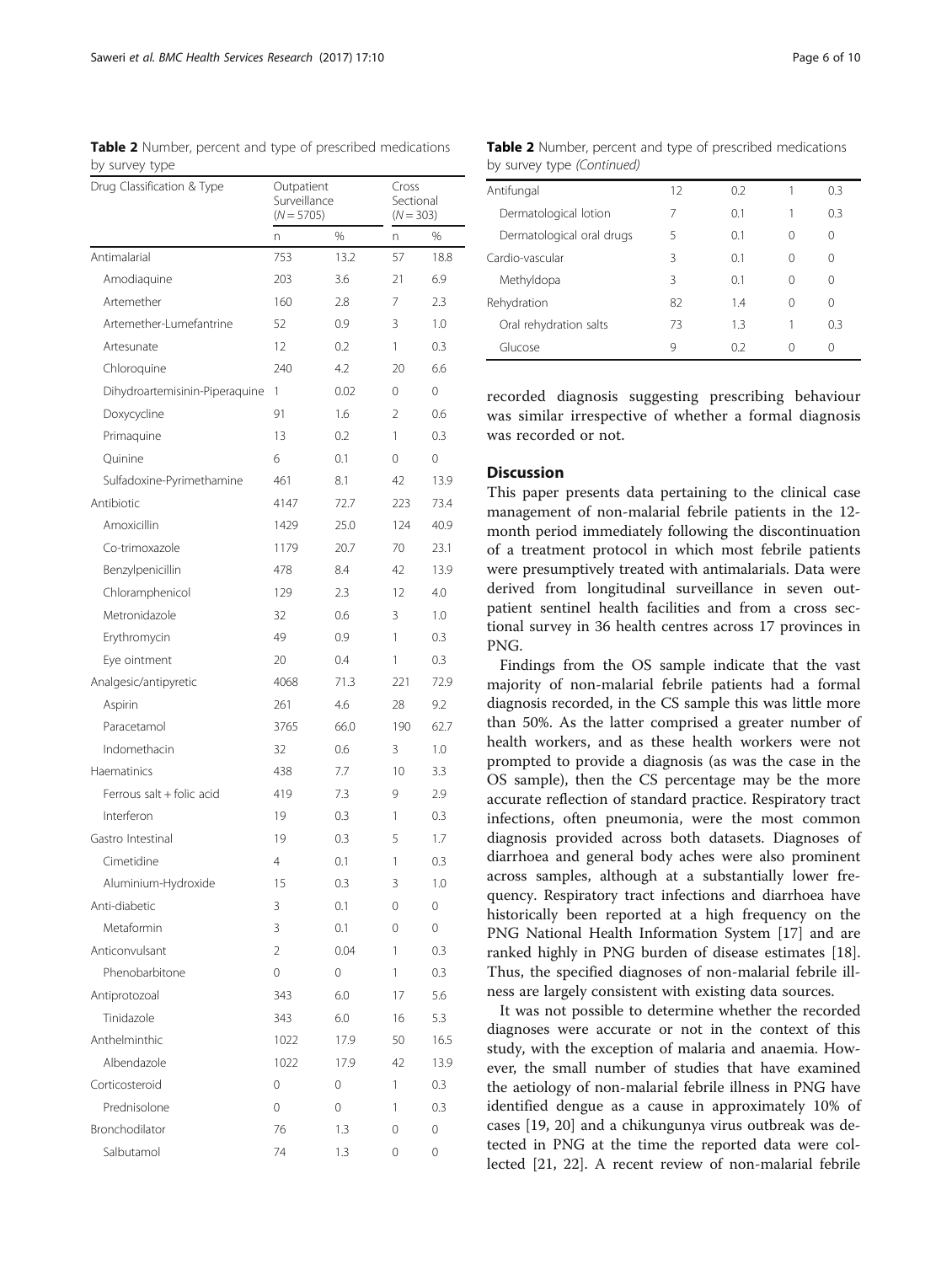| Drug Classification & Type     | Outpatient<br>Surveillance<br>$(N = 5705)$ |      | Cross<br>Sectional<br>$(N = 303)$ |      |  |
|--------------------------------|--------------------------------------------|------|-----------------------------------|------|--|
|                                | n                                          | $\%$ | n                                 | %    |  |
| Antimalarial                   | 753                                        | 13.2 | 57                                | 18.8 |  |
| Amodiaquine                    | 203                                        | 3.6  | 21                                | 6.9  |  |
| Artemether                     | 160                                        | 2.8  | 7                                 | 2.3  |  |
| Artemether-Lumefantrine        | 52                                         | 0.9  | 3                                 | 1.0  |  |
| Artesunate                     | 12                                         | 0.2  | 1                                 | 0.3  |  |
| Chloroquine                    | 240                                        | 4.2  | 20                                | 6.6  |  |
| Dihydroartemisinin-Piperaquine | 1                                          | 0.02 | 0                                 | 0    |  |
| Doxycycline                    | 91                                         | 1.6  | 2                                 | 0.6  |  |
| Primaguine                     | 13                                         | 0.2  | 1                                 | 0.3  |  |
| Quinine                        | 6                                          | 0.1  | 0                                 | 0    |  |
| Sulfadoxine-Pyrimethamine      | 461                                        | 8.1  | 42                                | 13.9 |  |
| Antibiotic                     | 4147                                       | 72.7 | 223                               | 73.4 |  |
| Amoxicillin                    | 1429                                       | 25.0 | 124                               | 40.9 |  |
| Co-trimoxazole                 | 1179                                       | 20.7 | 70                                | 23.1 |  |
| Benzylpenicillin               | 478                                        | 8.4  | 42                                | 13.9 |  |
| Chloramphenicol                | 129                                        | 2.3  | 12                                | 4.0  |  |
| Metronidazole                  | 32                                         | 0.6  | 3                                 | 1.0  |  |
| Erythromycin                   | 49                                         | 0.9  | 1                                 | 0.3  |  |
| Eye ointment                   | 20                                         | 0.4  | 1                                 | 0.3  |  |
| Analgesic/antipyretic          | 4068                                       | 71.3 | 221                               | 72.9 |  |
| Aspirin                        | 261                                        | 4.6  | 28                                | 9.2  |  |
| Paracetamol                    | 3765                                       | 66.0 | 190                               | 62.7 |  |
| Indomethacin                   | 32                                         | 0.6  | 3                                 | 1.0  |  |
| Haematinics                    | 438                                        | 7.7  | 10                                | 3.3  |  |
| Ferrous salt + folic acid      | 419                                        | 7.3  | 9                                 | 2.9  |  |
| Interferon                     | 19                                         | 0.3  | 1                                 | 0.3  |  |
| Gastro Intestinal              | 19                                         | 0.3  | 5                                 | 1.7  |  |
| Cimetidine                     | 4                                          | 0.1  | 1                                 | 0.3  |  |
| Aluminium-Hydroxide            | 15                                         | 0.3  | 3                                 | 1.0  |  |
| Anti-diabetic                  | 3                                          | 0.1  | 0                                 | 0    |  |
| Metaformin                     | 3                                          | 0.1  | 0                                 | 0    |  |
| Anticonvulsant                 | $\overline{2}$                             | 0.04 | 1                                 | 0.3  |  |
| Phenobarbitone                 | 0                                          | 0    | 1                                 | 0.3  |  |
| Antiprotozoal                  | 343                                        | 6.0  | 17                                | 5.6  |  |
| Tinidazole                     | 343                                        | 6.0  | 16                                | 5.3  |  |
| Anthelminthic                  | 1022                                       | 17.9 | 50                                | 16.5 |  |
| Albendazole                    | 1022                                       | 17.9 | 42                                | 13.9 |  |
| Corticosteroid                 | 0                                          | 0    | 1                                 | 0.3  |  |
| Prednisolone                   | 0                                          | 0    | 1                                 | 0.3  |  |
| Bronchodilator                 | 76                                         | 1.3  | 0                                 | 0    |  |
| Salbutamol                     | 74                                         | 1.3  | 0                                 | 0    |  |

<span id="page-5-0"></span>Table 2 Number, percent and type of prescribed medications by survey type

| by survey type <i>(Continued)</i> |     |  |
|-----------------------------------|-----|--|
| Antifungal                        | UJ. |  |
|                                   |     |  |

Table 2 Number, percent and type of prescribed medications

| <u>mundingar</u>          | ╹  | $\mathcal{L}$ |   | v.J |  |
|---------------------------|----|---------------|---|-----|--|
| Dermatological lotion     |    | 0.1           |   | 0.3 |  |
| Dermatological oral drugs | 5  | 0.1           | 0 | 0   |  |
| Cardio-vascular           | 3  | 0.1           | 0 | 0   |  |
| Methyldopa                | 3  | 0.1           | 0 | 0   |  |
| Rehydration               | 82 | 1.4           | 0 | 0   |  |
| Oral rehydration salts    | 73 | 1.3           |   | 0.3 |  |
| Glucose                   | 9  | 0.2           | Ω | 0   |  |

recorded diagnosis suggesting prescribing behaviour was similar irrespective of whether a formal diagnosis was recorded or not.

# Discussion

This paper presents data pertaining to the clinical case management of non-malarial febrile patients in the 12 month period immediately following the discontinuation of a treatment protocol in which most febrile patients were presumptively treated with antimalarials. Data were derived from longitudinal surveillance in seven outpatient sentinel health facilities and from a cross sectional survey in 36 health centres across 17 provinces in PNG.

Findings from the OS sample indicate that the vast majority of non-malarial febrile patients had a formal diagnosis recorded, in the CS sample this was little more than 50%. As the latter comprised a greater number of health workers, and as these health workers were not prompted to provide a diagnosis (as was the case in the OS sample), then the CS percentage may be the more accurate reflection of standard practice. Respiratory tract infections, often pneumonia, were the most common diagnosis provided across both datasets. Diagnoses of diarrhoea and general body aches were also prominent across samples, although at a substantially lower frequency. Respiratory tract infections and diarrhoea have historically been reported at a high frequency on the PNG National Health Information System [[17\]](#page-8-0) and are ranked highly in PNG burden of disease estimates [\[18](#page-8-0)]. Thus, the specified diagnoses of non-malarial febrile illness are largely consistent with existing data sources.

It was not possible to determine whether the recorded diagnoses were accurate or not in the context of this study, with the exception of malaria and anaemia. However, the small number of studies that have examined the aetiology of non-malarial febrile illness in PNG have identified dengue as a cause in approximately 10% of cases [[19, 20](#page-8-0)] and a chikungunya virus outbreak was detected in PNG at the time the reported data were collected [\[21](#page-9-0), [22\]](#page-9-0). A recent review of non-malarial febrile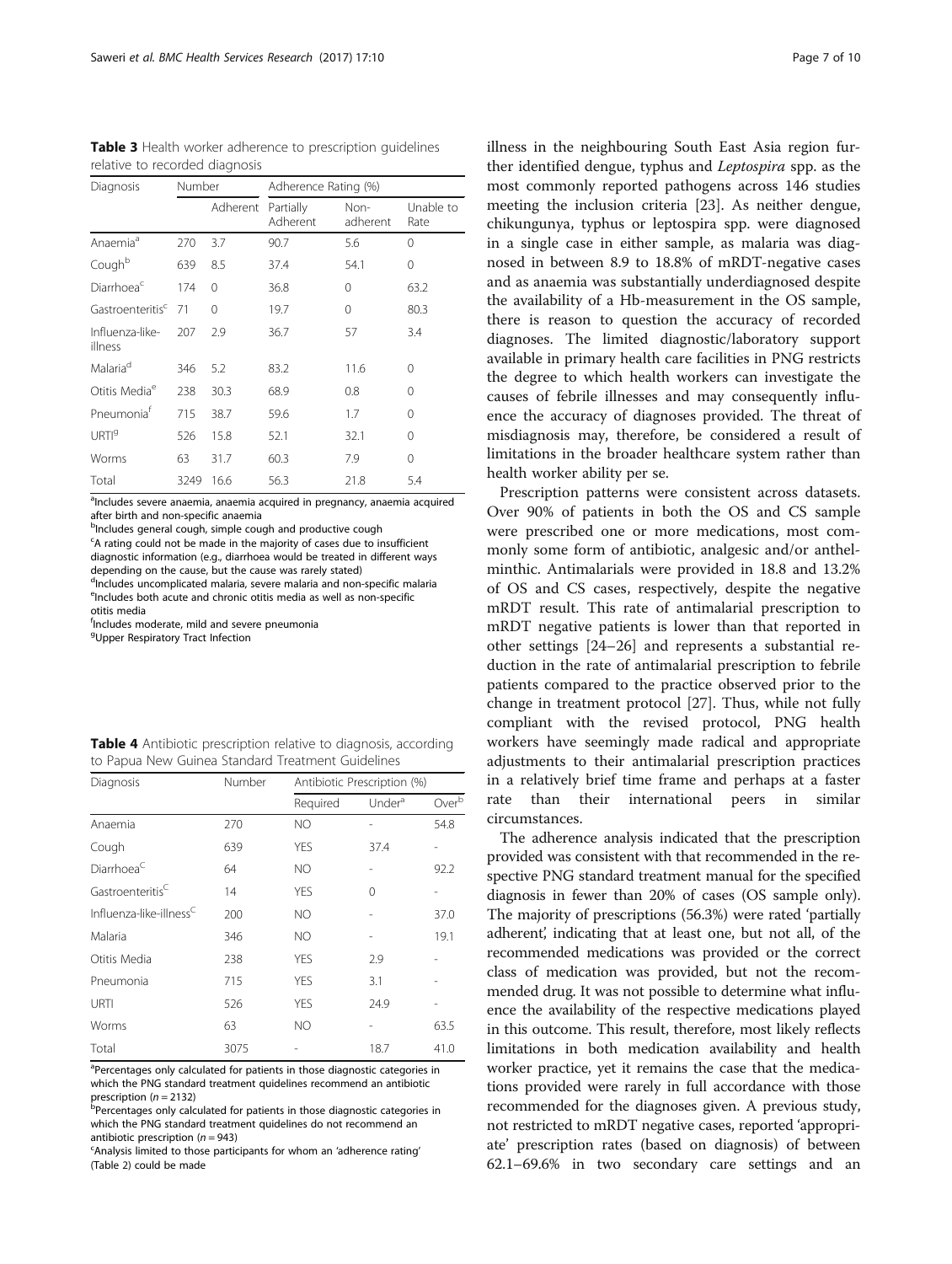<span id="page-6-0"></span>Table 3 Health worker adherence to prescription quidelines relative to recorded diagnosis

| Diagnosis                  | Number |          | Adherence Rating (%)  |                  |                   |  |  |
|----------------------------|--------|----------|-----------------------|------------------|-------------------|--|--|
|                            |        | Adherent | Partially<br>Adherent | Non-<br>adherent | Unable to<br>Rate |  |  |
| Anaemia <sup>a</sup>       | 270    | 3.7      | 90.7                  | 5.6              | $\Omega$          |  |  |
| Coughb                     | 639    | 8.5      | 37.4                  | 54.1             | 0                 |  |  |
| Diarrhoea <sup>c</sup>     | 174    | 0        | 36.8                  | $\Omega$         | 63.2              |  |  |
| Gastroenteritisc           | 71     | $\Omega$ | 19.7                  | $\Omega$         | 80.3              |  |  |
| Influenza-like-<br>illness | 207    | 2.9      | 36.7                  | 57               | 3.4               |  |  |
| Malaria <sup>d</sup>       | 346    | 5.2      | 83.2                  | 11.6             | $\Omega$          |  |  |
| Otitis Media <sup>e</sup>  | 238    | 30.3     | 68.9                  | 0.8              | 0                 |  |  |
| Pneumonia <sup>t</sup>     | 715    | 38.7     | 59.6                  | 1.7              | $\Omega$          |  |  |
| URTI <sup>9</sup>          | 526    | 15.8     | 52.1                  | 32.1             | 0                 |  |  |
| Worms                      | 63     | 31.7     | 60.3                  | 7.9              | 0                 |  |  |
| Total                      | 3249   | 16.6     | 56.3                  | 21.8             | 5.4               |  |  |

<sup>a</sup>Includes severe anaemia, anaemia acquired in pregnancy, anaemia acquired after birth and non-specific anaemia

<sup>b</sup>Includes general cough, simple cough and productive cough

<sup>c</sup>A rating could not be made in the majority of cases due to insufficient diagnostic information (e.g., diarrhoea would be treated in different ways depending on the cause, but the cause was rarely stated)

dncludes uncomplicated malaria, severe malaria and non-specific malaria elncludes both acute and chronic otitis media as well as non-specific otitis media

f Includes moderate, mild and severe pneumonia

<sup>9</sup>Upper Respiratory Tract Infection

Table 4 Antibiotic prescription relative to diagnosis, according to Papua New Guinea Standard Treatment Guidelines

| Diagnosis                           | Number | Antibiotic Prescription (%) |                    |       |  |  |
|-------------------------------------|--------|-----------------------------|--------------------|-------|--|--|
|                                     |        | Required                    | Under <sup>a</sup> | Overb |  |  |
| Anaemia                             | 270    | NO.                         |                    | 54.8  |  |  |
| Cough                               | 639    | <b>YES</b>                  | 37.4               |       |  |  |
| Diarrhoea <sup>C</sup>              | 64     | NO.                         |                    | 92.2  |  |  |
| Gastroenteritis <sup>C</sup>        | 14     | <b>YES</b>                  | 0                  |       |  |  |
| Influenza-like-illness <sup>C</sup> | 200    | NO.                         |                    | 37.0  |  |  |
| Malaria                             | 346    | NO.                         |                    | 19.1  |  |  |
| Otitis Media                        | 238    | <b>YES</b>                  | 2.9                |       |  |  |
| Pneumonia                           | 715    | <b>YES</b>                  | 3.1                |       |  |  |
| URTI                                | 526    | <b>YES</b>                  | 24.9               |       |  |  |
| Worms                               | 63     | NO.                         |                    | 63.5  |  |  |
| Total                               | 3075   |                             | 18.7               | 41.0  |  |  |

<sup>a</sup>Percentages only calculated for patients in those diagnostic categories in which the PNG standard treatment quidelines recommend an antibiotic prescription (*n* = 2132)<br><sup>b</sup>Percentages only calculated for patients in those diagnostic categories in

which the PNG standard treatment quidelines do not recommend an antibiotic prescription ( $n = 943$ )

Analysis limited to those participants for whom an 'adherence rating' (Table [2](#page-5-0)) could be made

illness in the neighbouring South East Asia region further identified dengue, typhus and Leptospira spp. as the most commonly reported pathogens across 146 studies meeting the inclusion criteria [\[23\]](#page-9-0). As neither dengue, chikungunya, typhus or leptospira spp. were diagnosed in a single case in either sample, as malaria was diagnosed in between 8.9 to 18.8% of mRDT-negative cases and as anaemia was substantially underdiagnosed despite the availability of a Hb-measurement in the OS sample, there is reason to question the accuracy of recorded diagnoses. The limited diagnostic/laboratory support available in primary health care facilities in PNG restricts the degree to which health workers can investigate the causes of febrile illnesses and may consequently influence the accuracy of diagnoses provided. The threat of misdiagnosis may, therefore, be considered a result of limitations in the broader healthcare system rather than health worker ability per se.

Prescription patterns were consistent across datasets. Over 90% of patients in both the OS and CS sample were prescribed one or more medications, most commonly some form of antibiotic, analgesic and/or anthelminthic. Antimalarials were provided in 18.8 and 13.2% of OS and CS cases, respectively, despite the negative mRDT result. This rate of antimalarial prescription to mRDT negative patients is lower than that reported in other settings [[24](#page-9-0)–[26](#page-9-0)] and represents a substantial reduction in the rate of antimalarial prescription to febrile patients compared to the practice observed prior to the change in treatment protocol [\[27\]](#page-9-0). Thus, while not fully compliant with the revised protocol, PNG health workers have seemingly made radical and appropriate adjustments to their antimalarial prescription practices in a relatively brief time frame and perhaps at a faster rate than their international peers in similar circumstances.

The adherence analysis indicated that the prescription provided was consistent with that recommended in the respective PNG standard treatment manual for the specified diagnosis in fewer than 20% of cases (OS sample only). The majority of prescriptions (56.3%) were rated 'partially adherent', indicating that at least one, but not all, of the recommended medications was provided or the correct class of medication was provided, but not the recommended drug. It was not possible to determine what influence the availability of the respective medications played in this outcome. This result, therefore, most likely reflects limitations in both medication availability and health worker practice, yet it remains the case that the medications provided were rarely in full accordance with those recommended for the diagnoses given. A previous study, not restricted to mRDT negative cases, reported 'appropriate' prescription rates (based on diagnosis) of between 62.1–69.6% in two secondary care settings and an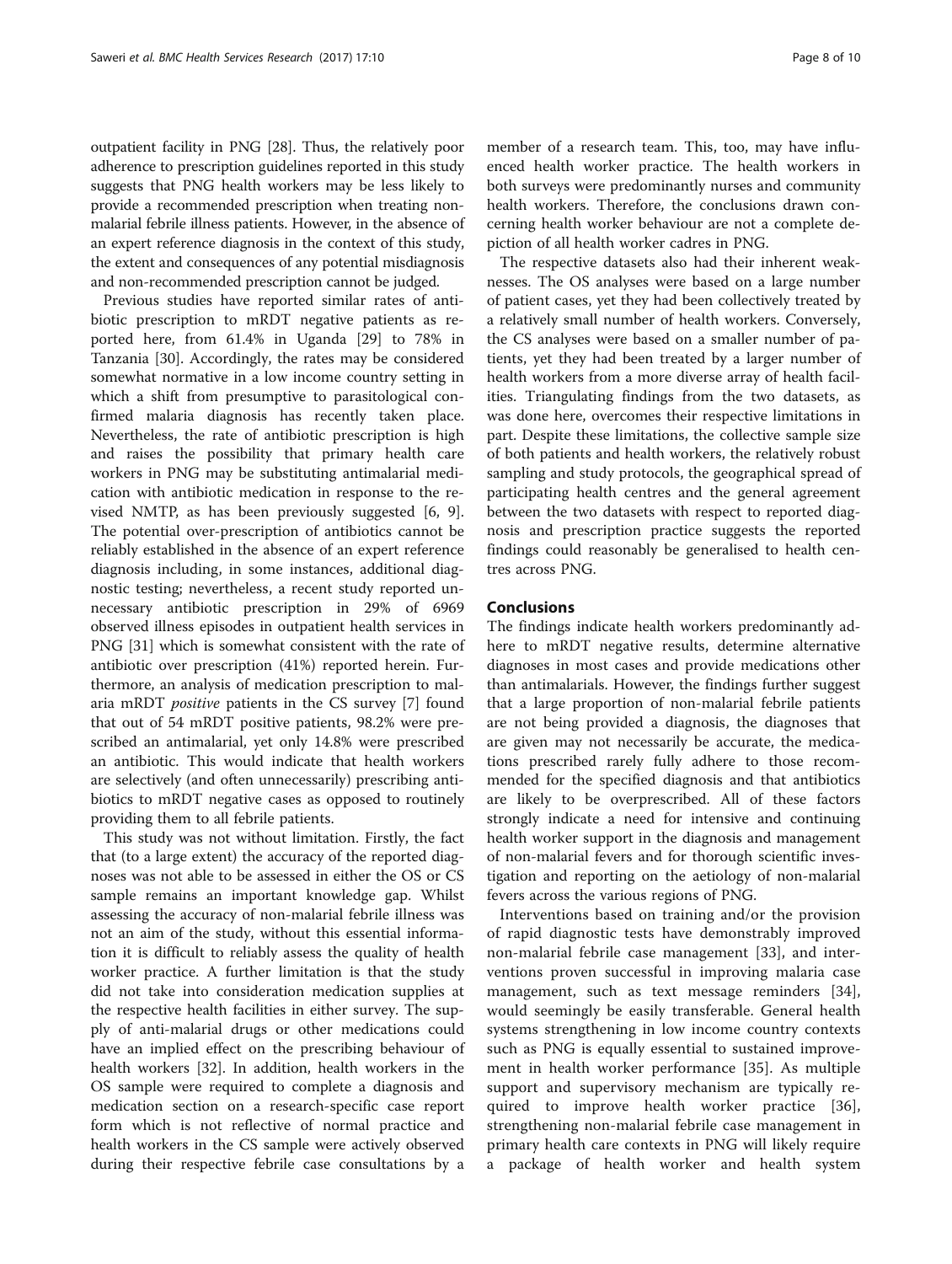outpatient facility in PNG [\[28\]](#page-9-0). Thus, the relatively poor adherence to prescription guidelines reported in this study suggests that PNG health workers may be less likely to provide a recommended prescription when treating nonmalarial febrile illness patients. However, in the absence of an expert reference diagnosis in the context of this study, the extent and consequences of any potential misdiagnosis and non-recommended prescription cannot be judged.

Previous studies have reported similar rates of antibiotic prescription to mRDT negative patients as reported here, from 61.4% in Uganda [\[29](#page-9-0)] to 78% in Tanzania [[30\]](#page-9-0). Accordingly, the rates may be considered somewhat normative in a low income country setting in which a shift from presumptive to parasitological confirmed malaria diagnosis has recently taken place. Nevertheless, the rate of antibiotic prescription is high and raises the possibility that primary health care workers in PNG may be substituting antimalarial medication with antibiotic medication in response to the revised NMTP, as has been previously suggested [\[6](#page-8-0), [9](#page-8-0)]. The potential over-prescription of antibiotics cannot be reliably established in the absence of an expert reference diagnosis including, in some instances, additional diagnostic testing; nevertheless, a recent study reported unnecessary antibiotic prescription in 29% of 6969 observed illness episodes in outpatient health services in PNG [\[31](#page-9-0)] which is somewhat consistent with the rate of antibiotic over prescription (41%) reported herein. Furthermore, an analysis of medication prescription to malaria mRDT positive patients in the CS survey [[7\]](#page-8-0) found that out of 54 mRDT positive patients, 98.2% were prescribed an antimalarial, yet only 14.8% were prescribed an antibiotic. This would indicate that health workers are selectively (and often unnecessarily) prescribing antibiotics to mRDT negative cases as opposed to routinely providing them to all febrile patients.

This study was not without limitation. Firstly, the fact that (to a large extent) the accuracy of the reported diagnoses was not able to be assessed in either the OS or CS sample remains an important knowledge gap. Whilst assessing the accuracy of non-malarial febrile illness was not an aim of the study, without this essential information it is difficult to reliably assess the quality of health worker practice. A further limitation is that the study did not take into consideration medication supplies at the respective health facilities in either survey. The supply of anti-malarial drugs or other medications could have an implied effect on the prescribing behaviour of health workers [\[32\]](#page-9-0). In addition, health workers in the OS sample were required to complete a diagnosis and medication section on a research-specific case report form which is not reflective of normal practice and health workers in the CS sample were actively observed during their respective febrile case consultations by a

member of a research team. This, too, may have influenced health worker practice. The health workers in both surveys were predominantly nurses and community health workers. Therefore, the conclusions drawn concerning health worker behaviour are not a complete depiction of all health worker cadres in PNG.

The respective datasets also had their inherent weaknesses. The OS analyses were based on a large number of patient cases, yet they had been collectively treated by a relatively small number of health workers. Conversely, the CS analyses were based on a smaller number of patients, yet they had been treated by a larger number of health workers from a more diverse array of health facilities. Triangulating findings from the two datasets, as was done here, overcomes their respective limitations in part. Despite these limitations, the collective sample size of both patients and health workers, the relatively robust sampling and study protocols, the geographical spread of participating health centres and the general agreement between the two datasets with respect to reported diagnosis and prescription practice suggests the reported findings could reasonably be generalised to health centres across PNG.

### Conclusions

The findings indicate health workers predominantly adhere to mRDT negative results, determine alternative diagnoses in most cases and provide medications other than antimalarials. However, the findings further suggest that a large proportion of non-malarial febrile patients are not being provided a diagnosis, the diagnoses that are given may not necessarily be accurate, the medications prescribed rarely fully adhere to those recommended for the specified diagnosis and that antibiotics are likely to be overprescribed. All of these factors strongly indicate a need for intensive and continuing health worker support in the diagnosis and management of non-malarial fevers and for thorough scientific investigation and reporting on the aetiology of non-malarial fevers across the various regions of PNG.

Interventions based on training and/or the provision of rapid diagnostic tests have demonstrably improved non-malarial febrile case management [[33\]](#page-9-0), and interventions proven successful in improving malaria case management, such as text message reminders [\[34](#page-9-0)], would seemingly be easily transferable. General health systems strengthening in low income country contexts such as PNG is equally essential to sustained improvement in health worker performance [\[35](#page-9-0)]. As multiple support and supervisory mechanism are typically required to improve health worker practice [\[36](#page-9-0)], strengthening non-malarial febrile case management in primary health care contexts in PNG will likely require a package of health worker and health system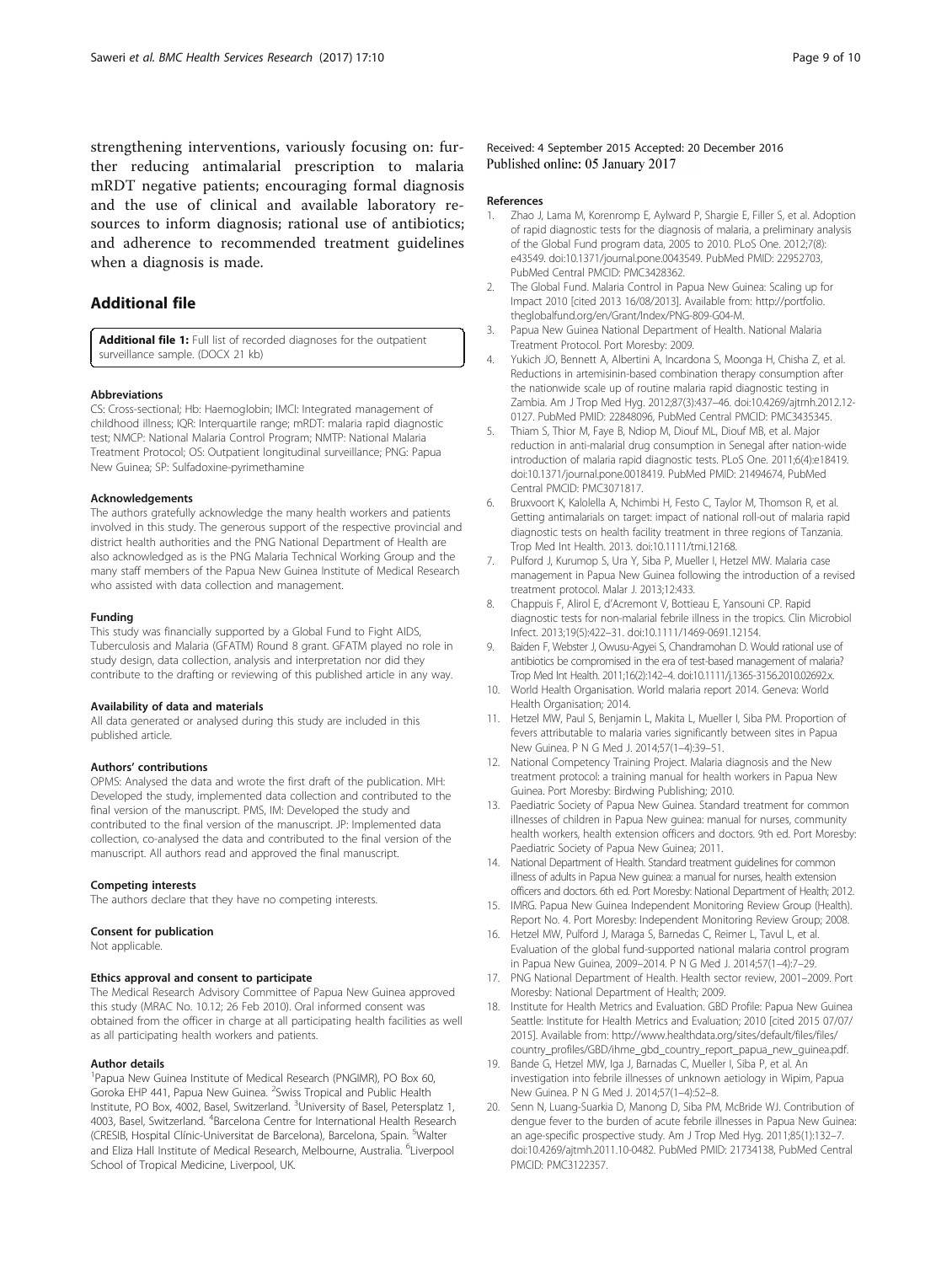<span id="page-8-0"></span>strengthening interventions, variously focusing on: further reducing antimalarial prescription to malaria mRDT negative patients; encouraging formal diagnosis and the use of clinical and available laboratory resources to inform diagnosis; rational use of antibiotics; and adherence to recommended treatment guidelines when a diagnosis is made.

# Additional file

[Additional file 1:](dx.doi.org/10.1186/s12913-016-1965-6) Full list of recorded diagnoses for the outpatient surveillance sample. (DOCX 21 kb)

### Abbreviations

CS: Cross-sectional; Hb: Haemoglobin; IMCI: Integrated management of childhood illness; IQR: Interquartile range; mRDT: malaria rapid diagnostic test; NMCP: National Malaria Control Program; NMTP: National Malaria Treatment Protocol; OS: Outpatient longitudinal surveillance; PNG: Papua New Guinea; SP: Sulfadoxine-pyrimethamine

#### Acknowledgements

The authors gratefully acknowledge the many health workers and patients involved in this study. The generous support of the respective provincial and district health authorities and the PNG National Department of Health are also acknowledged as is the PNG Malaria Technical Working Group and the many staff members of the Papua New Guinea Institute of Medical Research who assisted with data collection and management.

### Funding

This study was financially supported by a Global Fund to Fight AIDS, Tuberculosis and Malaria (GFATM) Round 8 grant. GFATM played no role in study design, data collection, analysis and interpretation nor did they contribute to the drafting or reviewing of this published article in any way.

#### Availability of data and materials

All data generated or analysed during this study are included in this published article.

#### Authors' contributions

OPMS: Analysed the data and wrote the first draft of the publication. MH: Developed the study, implemented data collection and contributed to the final version of the manuscript. PMS, IM: Developed the study and contributed to the final version of the manuscript. JP: Implemented data collection, co-analysed the data and contributed to the final version of the manuscript. All authors read and approved the final manuscript.

#### Competing interests

The authors declare that they have no competing interests.

#### Consent for publication

Not applicable.

### Ethics approval and consent to participate

The Medical Research Advisory Committee of Papua New Guinea approved this study (MRAC No. 10.12; 26 Feb 2010). Oral informed consent was obtained from the officer in charge at all participating health facilities as well as all participating health workers and patients.

#### Author details

<sup>1</sup> Papua New Guinea Institute of Medical Research (PNGIMR), PO Box 60, Goroka EHP 441, Papua New Guinea. <sup>2</sup>Swiss Tropical and Public Health Institute, PO Box, 4002, Basel, Switzerland. <sup>3</sup>University of Basel, Petersplatz 1, 4003, Basel, Switzerland. <sup>4</sup>Barcelona Centre for International Health Research (CRESIB, Hospital Clínic-Universitat de Barcelona), Barcelona, Spain. <sup>5</sup>Walter and Eliza Hall Institute of Medical Research, Melbourne, Australia. <sup>6</sup>Liverpool School of Tropical Medicine, Liverpool, UK.

Received: 4 September 2015 Accepted: 20 December 2016 Published online: 05 January 2017

#### References

- 1. Zhao J, Lama M, Korenromp E, Aylward P, Shargie E, Filler S, et al. Adoption of rapid diagnostic tests for the diagnosis of malaria, a preliminary analysis of the Global Fund program data, 2005 to 2010. PLoS One. 2012;7(8): e43549. doi:[10.1371/journal.pone.0043549.](http://dx.doi.org/10.1371/journal.pone.0043549) PubMed PMID: 22952703, PubMed Central PMCID: PMC3428362.
- 2. The Global Fund. Malaria Control in Papua New Guinea: Scaling up for Impact 2010 [cited 2013 16/08/2013]. Available from: [http://portfolio.](http://portfolio.theglobalfund.org/en/Grant/Index/PNG-809-G04-M) [theglobalfund.org/en/Grant/Index/PNG-809-G04-M.](http://portfolio.theglobalfund.org/en/Grant/Index/PNG-809-G04-M)
- 3. Papua New Guinea National Department of Health. National Malaria Treatment Protocol. Port Moresby: 2009.
- 4. Yukich JO, Bennett A, Albertini A, Incardona S, Moonga H, Chisha Z, et al. Reductions in artemisinin-based combination therapy consumption after the nationwide scale up of routine malaria rapid diagnostic testing in Zambia. Am J Trop Med Hyg. 2012;87(3):437–46. doi:[10.4269/ajtmh.2012.12-](http://dx.doi.org/10.4269/ajtmh.2012.12-0127) [0127](http://dx.doi.org/10.4269/ajtmh.2012.12-0127). PubMed PMID: 22848096, PubMed Central PMCID: PMC3435345.
- 5. Thiam S, Thior M, Faye B, Ndiop M, Diouf ML, Diouf MB, et al. Major reduction in anti-malarial drug consumption in Senegal after nation-wide introduction of malaria rapid diagnostic tests. PLoS One. 2011;6(4):e18419. doi[:10.1371/journal.pone.0018419.](http://dx.doi.org/10.1371/journal.pone.0018419) PubMed PMID: 21494674, PubMed Central PMCID: PMC3071817.
- 6. Bruxvoort K, Kalolella A, Nchimbi H, Festo C, Taylor M, Thomson R, et al. Getting antimalarials on target: impact of national roll-out of malaria rapid diagnostic tests on health facility treatment in three regions of Tanzania. Trop Med Int Health. 2013. doi[:10.1111/tmi.12168](http://dx.doi.org/10.1111/tmi.12168).
- 7. Pulford J, Kurumop S, Ura Y, Siba P, Mueller I, Hetzel MW. Malaria case management in Papua New Guinea following the introduction of a revised treatment protocol. Malar J. 2013;12:433.
- 8. Chappuis F, Alirol E, d'Acremont V, Bottieau E, Yansouni CP. Rapid diagnostic tests for non-malarial febrile illness in the tropics. Clin Microbiol Infect. 2013;19(5):422–31. doi[:10.1111/1469-0691.12154.](http://dx.doi.org/10.1111/1469-0691.12154)
- 9. Baiden F, Webster J, Owusu-Agyei S, Chandramohan D. Would rational use of antibiotics be compromised in the era of test-based management of malaria? Trop Med Int Health. 2011;16(2):142–4. doi:[10.1111/j.1365-3156.2010.02692.x.](http://dx.doi.org/10.1111/j.1365-3156.2010.02692.x)
- 10. World Health Organisation. World malaria report 2014. Geneva: World Health Organisation; 2014.
- 11. Hetzel MW, Paul S, Benjamin L, Makita L, Mueller I, Siba PM. Proportion of fevers attributable to malaria varies significantly between sites in Papua New Guinea. P N G Med J. 2014;57(1–4):39–51.
- 12. National Competency Training Project. Malaria diagnosis and the New treatment protocol: a training manual for health workers in Papua New Guinea. Port Moresby: Birdwing Publishing; 2010.
- 13. Paediatric Society of Papua New Guinea. Standard treatment for common illnesses of children in Papua New guinea: manual for nurses, community health workers, health extension officers and doctors. 9th ed. Port Moresby: Paediatric Society of Papua New Guinea; 2011.
- 14. National Department of Health. Standard treatment guidelines for common illness of adults in Papua New guinea: a manual for nurses, health extension officers and doctors. 6th ed. Port Moresby: National Department of Health; 2012.
- 15. IMRG. Papua New Guinea Independent Monitoring Review Group (Health). Report No. 4. Port Moresby: Independent Monitoring Review Group; 2008.
- 16. Hetzel MW, Pulford J, Maraga S, Barnedas C, Reimer L, Tavul L, et al. Evaluation of the global fund-supported national malaria control program in Papua New Guinea, 2009–2014. P N G Med J. 2014;57(1–4):7–29.
- 17. PNG National Department of Health. Health sector review, 2001–2009. Port Moresby: National Department of Health; 2009.
- 18. Institute for Health Metrics and Evaluation. GBD Profile: Papua New Guinea Seattle: Institute for Health Metrics and Evaluation; 2010 [cited 2015 07/07/ 2015]. Available from: [http://www.healthdata.org/sites/default/files/files/](http://www.healthdata.org/sites/default/files/files/country_profiles/GBD/ihme_gbd_country_report_papua_new_guinea.pdf) [country\\_profiles/GBD/ihme\\_gbd\\_country\\_report\\_papua\\_new\\_guinea.pdf.](http://www.healthdata.org/sites/default/files/files/country_profiles/GBD/ihme_gbd_country_report_papua_new_guinea.pdf)
- 19. Bande G, Hetzel MW, Iga J, Barnadas C, Mueller I, Siba P, et al. An investigation into febrile illnesses of unknown aetiology in Wipim, Papua New Guinea. P N G Med J. 2014;57(1–4):52–8.
- 20. Senn N, Luang-Suarkia D, Manong D, Siba PM, McBride WJ. Contribution of dengue fever to the burden of acute febrile illnesses in Papua New Guinea: an age-specific prospective study. Am J Trop Med Hyg. 2011;85(1):132–7. doi[:10.4269/ajtmh.2011.10-0482](http://dx.doi.org/10.4269/ajtmh.2011.10-0482). PubMed PMID: 21734138, PubMed Central PMCID: PMC3122357.